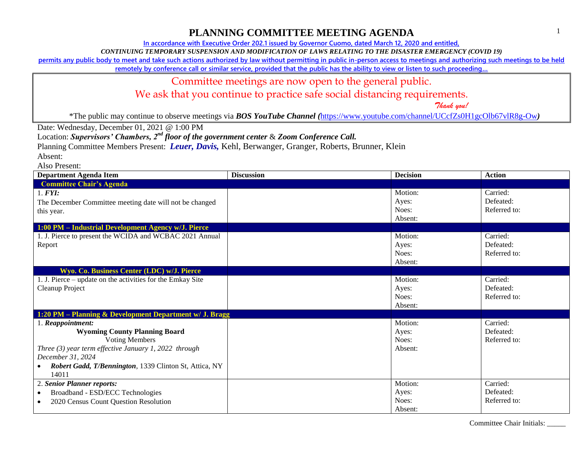### **PLANNING COMMITTEE MEETING AGENDA**

**In accordance with Executive Order 202.1 issued by Governor Cuomo, dated March 12, 2020 and entitled,**

*CONTINUING TEMPORARY SUSPENSION AND MODIFICATION OF LAWS RELATING TO THE DISASTER EMERGENCY (COVID 19)*

**permits any public body to meet and take such actions authorized by law without permitting in public in-person access to meetings and authorizing such meetings to be held** 

**remotely by conference call or similar service, provided that the public has the ability to view or listen to such proceeding…**

#### Committee meetings are now open to the general public.

We ask that you continue to practice safe social distancing requirements.

 *Thank you!*

\*The public may continue to observe meetings via *BOS YouTube Channel (*<https://www.youtube.com/channel/UCcfZs0H1gcOlb67vlR8g-Ow>*)*

Date: Wednesday, December 01, 2021 @ 1:00 PM

Location: *Supervisors' Chambers, 2nd floor of the government center* & *Zoom Conference Call.*

Planning Committee Members Present: *Leuer, Davis,* Kehl, Berwanger, Granger, Roberts, Brunner, Klein

Absent:

Also Present:

| <b>Department Agenda Item</b>                                                                                                                                                                                                         | <b>Discussion</b> | <b>Decision</b>                      | <b>Action</b>                         |
|---------------------------------------------------------------------------------------------------------------------------------------------------------------------------------------------------------------------------------------|-------------------|--------------------------------------|---------------------------------------|
| <b>Committee Chair's Agenda</b>                                                                                                                                                                                                       |                   |                                      |                                       |
| 1. <b>FYI</b> :<br>The December Committee meeting date will not be changed<br>this year.                                                                                                                                              |                   | Motion:<br>Ayes:<br>Noes:<br>Absent: | Carried:<br>Defeated:<br>Referred to: |
| 1:00 PM - Industrial Development Agency w/J. Pierce                                                                                                                                                                                   |                   |                                      |                                       |
| 1. J. Pierce to present the WCIDA and WCBAC 2021 Annual<br>Report                                                                                                                                                                     |                   | Motion:<br>Ayes:<br>Noes:<br>Absent: | Carried:<br>Defeated:<br>Referred to: |
| Wyo. Co. Business Center (LDC) w/J. Pierce                                                                                                                                                                                            |                   |                                      |                                       |
| 1. J. Pierce – update on the activities for the Emkay Site<br>Cleanup Project                                                                                                                                                         |                   | Motion:<br>Ayes:<br>Noes:<br>Absent: | Carried:<br>Defeated:<br>Referred to: |
| 1:20 PM - Planning & Development Department w/ J. Bragg                                                                                                                                                                               |                   |                                      |                                       |
| 1. Reappointment:<br><b>Wyoming County Planning Board</b><br><b>Voting Members</b><br>Three $(3)$ year term effective January 1, 2022 through<br>December 31, 2024<br>Robert Gadd, T/Bennington, 1339 Clinton St, Attica, NY<br>14011 |                   | Motion:<br>Ayes:<br>Noes:<br>Absent: | Carried:<br>Defeated:<br>Referred to: |
| 2. Senior Planner reports:                                                                                                                                                                                                            |                   | Motion:                              | Carried:                              |
| Broadband - ESD/ECC Technologies<br>$\bullet$<br>2020 Census Count Question Resolution<br>$\bullet$                                                                                                                                   |                   | Ayes:<br>Noes:<br>Absent:            | Defeated:<br>Referred to:             |

Committee Chair Initials: \_\_\_\_\_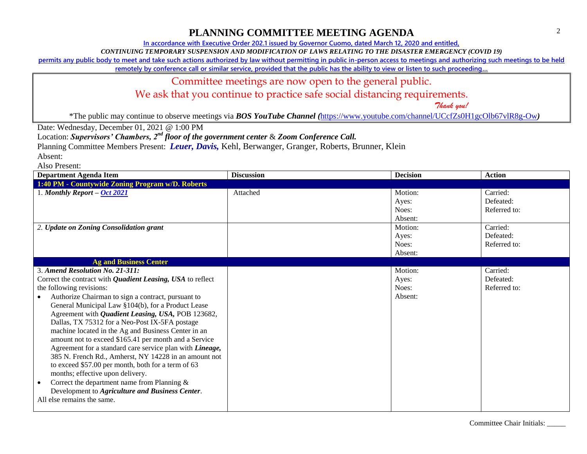**In accordance with Executive Order 202.1 issued by Governor Cuomo, dated March 12, 2020 and entitled,**

*CONTINUING TEMPORARY SUSPENSION AND MODIFICATION OF LAWS RELATING TO THE DISASTER EMERGENCY (COVID 19)*

**permits any public body to meet and take such actions authorized by law without permitting in public in-person access to meetings and authorizing such meetings to be held** 

**remotely by conference call or similar service, provided that the public has the ability to view or listen to such proceeding…**

#### Committee meetings are now open to the general public.

We ask that you continue to practice safe social distancing requirements.

 *Thank you!*

\*The public may continue to observe meetings via *BOS YouTube Channel (*<https://www.youtube.com/channel/UCcfZs0H1gcOlb67vlR8g-Ow>*)*

Date: Wednesday, December 01, 2021 @ 1:00 PM

Location: *Supervisors' Chambers, 2nd floor of the government center* & *Zoom Conference Call.*

Planning Committee Members Present: *Leuer, Davis,* Kehl, Berwanger, Granger, Roberts, Brunner, Klein

Absent:

Also Present:

| <b>Department Agenda Item</b>                                                                                                                                                                                                                                                                                                                                                                                                                                                                                                                                                                                                                                                                                                                                                                                               | <b>Discussion</b> | <b>Decision</b>                      | <b>Action</b>                         |
|-----------------------------------------------------------------------------------------------------------------------------------------------------------------------------------------------------------------------------------------------------------------------------------------------------------------------------------------------------------------------------------------------------------------------------------------------------------------------------------------------------------------------------------------------------------------------------------------------------------------------------------------------------------------------------------------------------------------------------------------------------------------------------------------------------------------------------|-------------------|--------------------------------------|---------------------------------------|
| 1:40 PM - Countywide Zoning Program w/D. Roberts                                                                                                                                                                                                                                                                                                                                                                                                                                                                                                                                                                                                                                                                                                                                                                            |                   |                                      |                                       |
| 1. Monthly Report $-$ Oct 2021                                                                                                                                                                                                                                                                                                                                                                                                                                                                                                                                                                                                                                                                                                                                                                                              | Attached          | Motion:<br>Ayes:<br>Noes:<br>Absent: | Carried:<br>Defeated:<br>Referred to: |
| 2. Update on Zoning Consolidation grant                                                                                                                                                                                                                                                                                                                                                                                                                                                                                                                                                                                                                                                                                                                                                                                     |                   | Motion:<br>Ayes:<br>Noes:<br>Absent: | Carried:<br>Defeated:<br>Referred to: |
| <b>Ag and Business Center</b>                                                                                                                                                                                                                                                                                                                                                                                                                                                                                                                                                                                                                                                                                                                                                                                               |                   |                                      |                                       |
| 3. Amend Resolution No. 21-311:<br>Correct the contract with <i>Quadient Leasing</i> , USA to reflect<br>the following revisions:<br>Authorize Chairman to sign a contract, pursuant to<br>General Municipal Law §104(b), for a Product Lease<br>Agreement with <i>Quadient Leasing</i> , USA, POB 123682,<br>Dallas, TX 75312 for a Neo-Post IX-5FA postage<br>machine located in the Ag and Business Center in an<br>amount not to exceed \$165.41 per month and a Service<br>Agreement for a standard care service plan with Lineage,<br>385 N. French Rd., Amherst, NY 14228 in an amount not<br>to exceed \$57.00 per month, both for a term of 63<br>months; effective upon delivery.<br>Correct the department name from Planning &<br>Development to Agriculture and Business Center.<br>All else remains the same. |                   | Motion:<br>Ayes:<br>Noes:<br>Absent: | Carried:<br>Defeated:<br>Referred to: |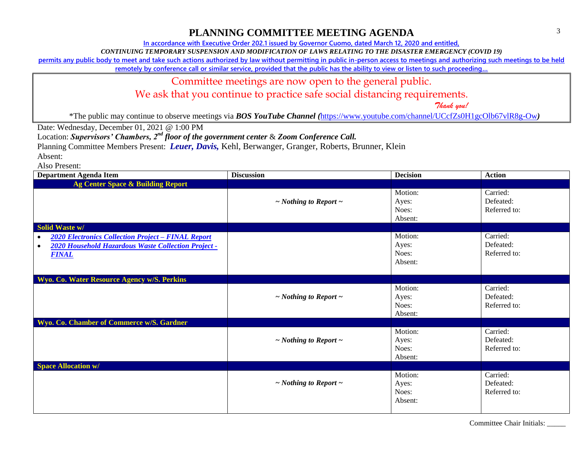## **PLANNING COMMITTEE MEETING AGENDA**

**In accordance with Executive Order 202.1 issued by Governor Cuomo, dated March 12, 2020 and entitled,**

*CONTINUING TEMPORARY SUSPENSION AND MODIFICATION OF LAWS RELATING TO THE DISASTER EMERGENCY (COVID 19)*

**permits any public body to meet and take such actions authorized by law without permitting in public in-person access to meetings and authorizing such meetings to be held** 

**remotely by conference call or similar service, provided that the public has the ability to view or listen to such proceeding…**

#### Committee meetings are now open to the general public.

We ask that you continue to practice safe social distancing requirements.

 *Thank you!*

\*The public may continue to observe meetings via *BOS YouTube Channel (*<https://www.youtube.com/channel/UCcfZs0H1gcOlb67vlR8g-Ow>*)*

Date: Wednesday, December 01, 2021 @ 1:00 PM

Location: *Supervisors' Chambers, 2nd floor of the government center* & *Zoom Conference Call.*

Planning Committee Members Present: *Leuer, Davis,* Kehl, Berwanger, Granger, Roberts, Brunner, Klein

Absent:

Also Present:

| <b>Department Agenda Item</b>                                                                                                                              | <b>Discussion</b>               | <b>Decision</b>                      | <b>Action</b>                         |
|------------------------------------------------------------------------------------------------------------------------------------------------------------|---------------------------------|--------------------------------------|---------------------------------------|
| Ag Center Space & Building Report                                                                                                                          |                                 |                                      |                                       |
|                                                                                                                                                            | $\sim$ Nothing to Report $\sim$ | Motion:<br>Ayes:<br>Noes:<br>Absent: | Carried:<br>Defeated:<br>Referred to: |
| Solid Waste w/                                                                                                                                             |                                 |                                      |                                       |
| <b>2020 Electronics Collection Project - FINAL Report</b><br>$\bullet$<br>2020 Household Hazardous Waste Collection Project -<br>$\bullet$<br><b>FINAL</b> |                                 | Motion:<br>Ayes:<br>Noes:<br>Absent: | Carried:<br>Defeated:<br>Referred to: |
| Wyo. Co. Water Resource Agency w/S. Perkins                                                                                                                |                                 |                                      |                                       |
|                                                                                                                                                            | $\sim$ Nothing to Report $\sim$ | Motion:<br>Ayes:<br>Noes:<br>Absent: | Carried:<br>Defeated:<br>Referred to: |
| Wyo. Co. Chamber of Commerce w/S. Gardner                                                                                                                  |                                 |                                      |                                       |
|                                                                                                                                                            | $\sim$ Nothing to Report $\sim$ | Motion:<br>Ayes:<br>Noes:<br>Absent: | Carried:<br>Defeated:<br>Referred to: |
| <b>Space Allocation w/</b>                                                                                                                                 |                                 |                                      |                                       |
|                                                                                                                                                            | $\sim$ Nothing to Report $\sim$ | Motion:<br>Ayes:<br>Noes:<br>Absent: | Carried:<br>Defeated:<br>Referred to: |

Committee Chair Initials: \_\_\_\_\_